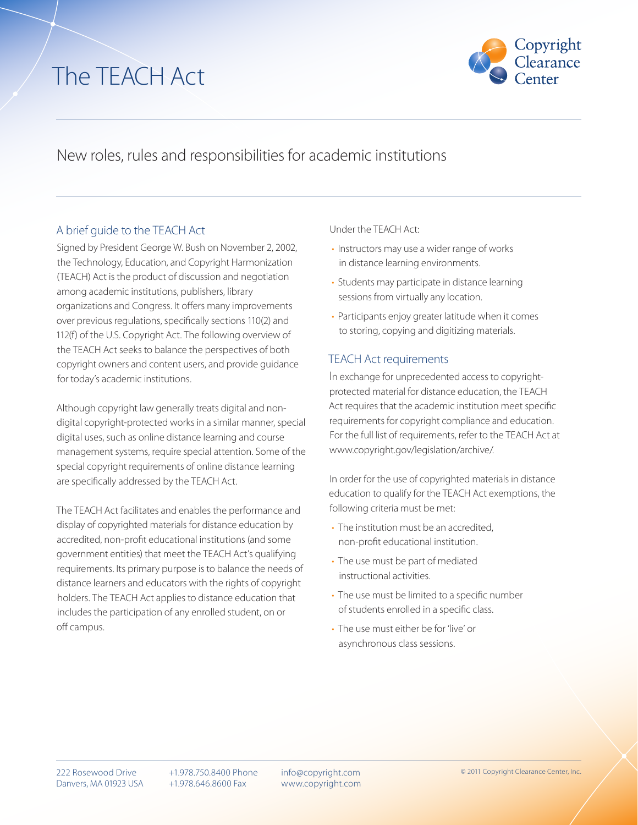# The TEACH Act



## New roles, rules and responsibilities for academic institutions

### A brief guide to the TEACH Act

Signed by President George W. Bush on November 2, 2002, the Technology, Education, and Copyright Harmonization (TEACH) Act is the product of discussion and negotiation among academic institutions, publishers, library organizations and Congress. It offers many improvements over previous regulations, specifically sections 110(2) and 112(f) of the U.S. Copyright Act. The following overview of the TEACH Act seeks to balance the perspectives of both copyright owners and content users, and provide guidance for today's academic institutions.

Although copyright law generally treats digital and nondigital copyright-protected works in a similar manner, special digital uses, such as online distance learning and course management systems, require special attention. Some of the special copyright requirements of online distance learning are specifically addressed by the TEACH Act.

The TEACH Act facilitates and enables the performance and display of copyrighted materials for distance education by accredited, non-profit educational institutions (and some government entities) that meet the TEACH Act's qualifying requirements. Its primary purpose is to balance the needs of distance learners and educators with the rights of copyright holders. The TEACH Act applies to distance education that includes the participation of any enrolled student, on or off campus.

Under the TEACH Act:

- Instructors may use a wider range of works in distance learning environments.
- Students may participate in distance learning sessions from virtually any location.
- Participants enjoy greater latitude when it comes to storing, copying and digitizing materials.

#### TEACH Act requirements

In exchange for unprecedented access to copyrightprotected material for distance education, the TEACH Act requires that the academic institution meet specific requirements for copyright compliance and education. For the full list of requirements, refer to the TEACH Act at www.copyright.gov/legislation/archive/.

In order for the use of copyrighted materials in distance education to qualify for the TEACH Act exemptions, the following criteria must be met:

- The institution must be an accredited, non-profit educational institution.
- The use must be part of mediated instructional activities.
- The use must be limited to a specific number of students enrolled in a specific class.
- The use must either be for 'live' or asynchronous class sessions.